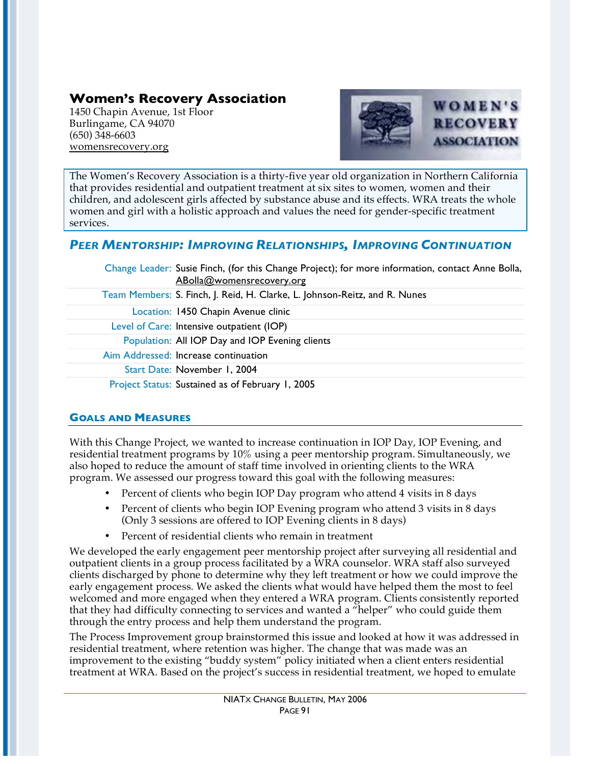# **Women's Recovery Association**

1450 Chapin Avenue, 1st Floor Burlingame, CA 94070 (650) 348-6603 womensrecovery.org



The Women's Recovery Association is a thirty-five year old organization in Northern California that provides residential and outpatient treatment at six sites to women, women and their children, and adolescent girls affected by substance abuse and its effects. WRA treats the whole women and girl with a holistic approach and values the need for gender-specific treatment services.

## *PEER MENTORSHIP: IMPROVING RELATIONSHIPS, IMPROVING CONTINUATION*

| Change Leader: Susie Finch, (for this Change Project); for more information, contact Anne Bolla,<br>ABolla@womensrecovery.org |
|-------------------------------------------------------------------------------------------------------------------------------|
| Team Members: S. Finch, J. Reid, H. Clarke, L. Johnson-Reitz, and R. Nunes                                                    |
| Location: 1450 Chapin Avenue clinic                                                                                           |
| Level of Care: Intensive outpatient (IOP)                                                                                     |
| Population: All IOP Day and IOP Evening clients                                                                               |
| Aim Addressed: Increase continuation                                                                                          |
| Start Date: November 1, 2004                                                                                                  |
| Project Status: Sustained as of February 1, 2005                                                                              |

## **GOALS AND MEASURES**

With this Change Project, we wanted to increase continuation in IOP Day, IOP Evening, and residential treatment programs by 10% using a peer mentorship program. Simultaneously, we also hoped to reduce the amount of staff time involved in orienting clients to the WRA program. We assessed our progress toward this goal with the following measures:

- Percent of clients who begin IOP Day program who attend 4 visits in 8 days
- Percent of clients who begin IOP Evening program who attend 3 visits in 8 days (Only 3 sessions are offered to IOP Evening clients in 8 days)
- Percent of residential clients who remain in treatment

We developed the early engagement peer mentorship project after surveying all residential and outpatient clients in a group process facilitated by a WRA counselor. WRA staff also surveyed clients discharged by phone to determine why they left treatment or how we could improve the early engagement process. We asked the clients what would have helped them the most to feel welcomed and more engaged when they entered a WRA program. Clients consistently reported that they had difficulty connecting to services and wanted a "helper" who could guide them through the entry process and help them understand the program.

The Process Improvement group brainstormed this issue and looked at how it was addressed in residential treatment, where retention was higher. The change that was made was an improvement to the existing "buddy system" policy initiated when a client enters residential treatment at WRA. Based on the project's success in residential treatment, we hoped to emulate